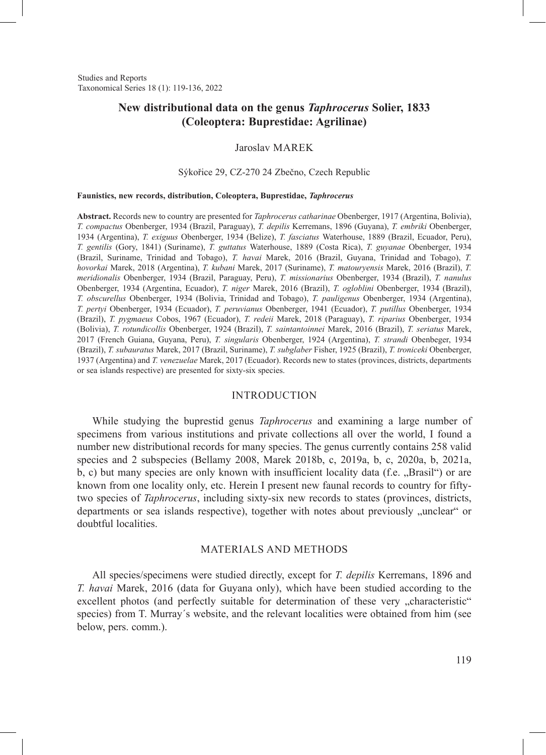Studies and Reports Taxonomical Series 18 (1): 119-136, 2022

# **New distributional data on the genus** *Taphrocerus* **Solier, 1833 (Coleoptera: Buprestidae: Agrilinae)**

### Jaroslav MAREK

#### Sýkořice 29, CZ-270 24 Zbečno, Czech Republic

#### **Faunistics, new records, distribution, Coleoptera, Buprestidae,** *Taphrocerus*

**Abstract.** Records new to country are presented for *Taphrocerus catharinae* Obenberger, 1917 (Argentina, Bolivia), *T. compactus* Obenberger, 1934 (Brazil, Paraguay), *T. depilis* Kerremans, 1896 (Guyana), *T. embriki* Obenberger, 1934 (Argentina), *T. exiguus* Obenberger, 1934 (Belize), *T. fasciatus* Waterhouse, 1889 (Brazil, Ecuador, Peru), *T. gentilis* (Gory, 1841) (Suriname), *T. guttatus* Waterhouse, 1889 (Costa Rica), *T. guyanae* Obenberger, 1934 (Brazil, Suriname, Trinidad and Tobago), *T. havai* Marek, 2016 (Brazil, Guyana, Trinidad and Tobago), *T. hovorkai* Marek, 2018 (Argentina), *T. kubani* Marek, 2017 (Suriname), *T. matouryensis* Marek, 2016 (Brazil), *T. meridionalis* Obenberger, 1934 (Brazil, Paraguay, Peru), *T. missionarius* Obenberger, 1934 (Brazil), *T. nanulus*  Obenberger, 1934 (Argentina, Ecuador), *T. niger* Marek, 2016 (Brazil), *T. ogloblini* Obenberger, 1934 (Brazil), *T. obscurellus* Obenberger, 1934 (Bolivia, Trinidad and Tobago), *T. pauligenus* Obenberger, 1934 (Argentina), *T. pertyi* Obenberger, 1934 (Ecuador), *T. peruvianus* Obenberger, 1941 (Ecuador), *T. putillus* Obenberger, 1934 (Brazil), *T. pygmaeus* Cobos, 1967 (Ecuador), *T. redeii* Marek, 2018 (Paraguay), *T. riparius* Obenberger, 1934 (Bolivia), *T. rotundicollis* Obenberger, 1924 (Brazil), *T. saintantoinnei* Marek, 2016 (Brazil), *T. seriatus* Marek, 2017 (French Guiana, Guyana, Peru), *T. singularis* Obenberger, 1924 (Argentina), *T. strandi* Obenbeger, 1934 (Brazil), *T. subauratus* Marek, 2017 (Brazil, Suriname), *T. subglaber* Fisher, 1925 (Brazil), *T. troniceki* Obenberger, 1937 (Argentina) and *T. venezuelae* Marek, 2017 (Ecuador). Records new to states (provinces, districts, departments or sea islands respective) are presented for sixty-six species.

### INTRODUCTION

While studying the buprestid genus *Taphrocerus* and examining a large number of specimens from various institutions and private collections all over the world, I found a number new distributional records for many species. The genus currently contains 258 valid species and 2 subspecies (Bellamy 2008, Marek 2018b, c, 2019a, b, c, 2020a, b, 2021a, b, c) but many species are only known with insufficient locality data (f.e.  $\alpha$ , Brasil") or are known from one locality only, etc. Herein I present new faunal records to country for fiftytwo species of *Taphrocerus*, including sixty-six new records to states (provinces, districts, departments or sea islands respective), together with notes about previously "unclear" or doubtful localities.

#### MATERIALS AND METHODS

All species/specimens were studied directly, except for *T. depilis* Kerremans, 1896 and *T. havai* Marek, 2016 (data for Guyana only), which have been studied according to the excellent photos (and perfectly suitable for determination of these very "characteristic" species) from T. Murray´s website, and the relevant localities were obtained from him (see below, pers. comm.).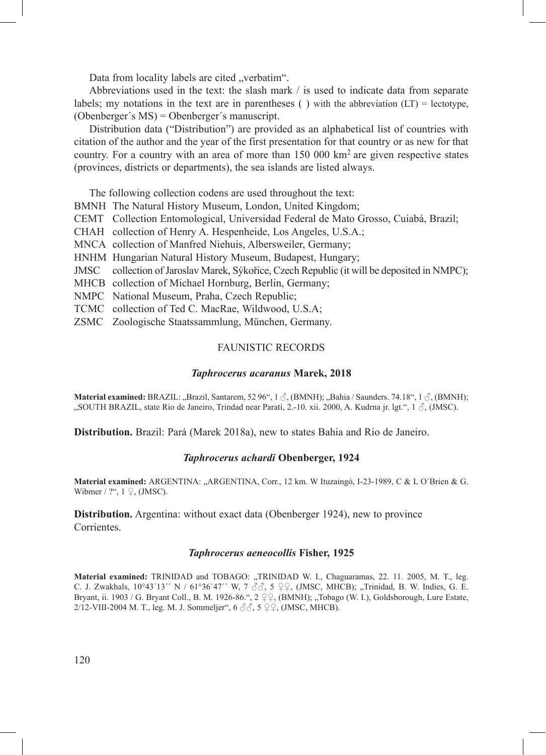Data from locality labels are cited "verbatim".

Abbreviations used in the text: the slash mark / is used to indicate data from separate labels; my notations in the text are in parentheses () with the abbreviation  $(LT) =$  lectotype, (Obenberger´s MS) = Obenberger´s manuscript.

Distribution data ("Distribution") are provided as an alphabetical list of countries with citation of the author and the year of the first presentation for that country or as new for that country. For a country with an area of more than  $150\,000\ \mathrm{km}^2$  are given respective states (provinces, districts or departments), the sea islands are listed always.

The following collection codens are used throughout the text:

BMNH The Natural History Museum, London, United Kingdom;

- CEMT Collection Entomological, Universidad Federal de Mato Grosso, Cuiabá, Brazil;
- CHAH collection of Henry A. Hespenheide, Los Angeles, U.S.A.;
- MNCA collection of Manfred Niehuis, Albersweiler, Germany;
- HNHM Hungarian Natural History Museum, Budapest, Hungary;
- JMSC collection of Jaroslav Marek, Sýkořice, Czech Republic (it will be deposited in NMPC);
- MHCB collection of Michael Hornburg, Berlin, Germany;
- NMPC National Museum, Praha, Czech Republic;
- TCMC collection of Ted C. MacRae, Wildwood, U.S.A;
- ZSMC Zoologische Staatssammlung, München, Germany.

#### FAUNISTIC RECORDS

#### *Taphrocerus acaranus* **Marek, 2018**

**Material examined:** BRAZIL: "Brazil, Santarem, 52 96", 1  $\circ$ , (BMNH); "Bahia / Saunders. 74.18", 1  $\circ$ , (BMNH); "SOUTH BRAZIL, state Rio de Janeiro, Trindad near Paratí, 2.-10. xii. 2000, A. Kudrna jr. lgt.", 1  $\mathcal{J}$ , (JMSC).

**Distribution.** Brazil: Pará (Marek 2018a), new to states Bahia and Rio de Janeiro.

#### *Taphrocerus achardi* **Obenberger, 1924**

Material examined: ARGENTINA: "ARGENTINA, Corr., 12 km. W Ituzaingó, I-23-1989, C & L O'Brien & G. Wibmer / ?",  $1 \nsubseteq$ , (JMSC).

**Distribution.** Argentina: without exact data (Obenberger 1924), new to province Corrientes.

## *Taphrocerus aeneocollis* **Fisher, 1925**

Material examined: TRINIDAD and TOBAGO: "TRINIDAD W. I., Chaguaramas, 22. 11. 2005, M. T., leg. C. J. Zwakhals,  $10^{\circ}43'13'$ <sup>'</sup> N /  $61^{\circ}36'47'$ ' W, 7  $\sqrt[3]{6}$ , 5  $\sqrt[3]{2}$ , (JMSC, MHCB); "Trinidad, B. W. Indies, G. E. Bryant, ii. 1903 / G. Bryant Coll., B. M. 1926-86.", 2 ♀♀, (BMNH); "Tobago (W. I.), Goldsborough, Lure Estate, 2/12-VIII-2004 M. T., leg. M. J. Sommeljer", 6 ♂♂, 5 ♀♀, (JMSC, MHCB).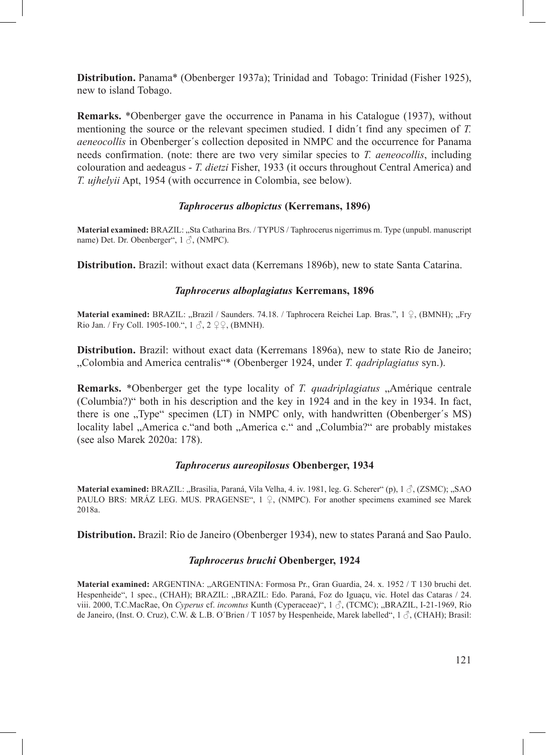**Distribution.** Panama\* (Obenberger 1937a); Trinidad and Tobago: Trinidad (Fisher 1925), new to island Tobago.

**Remarks.** \*Obenberger gave the occurrence in Panama in his Catalogue (1937), without mentioning the source or the relevant specimen studied. I didn´t find any specimen of *T. aeneocollis* in Obenberger´s collection deposited in NMPC and the occurrence for Panama needs confirmation. (note: there are two very similar species to *T. aeneocollis*, including colouration and aedeagus - *T. dietzi* Fisher, 1933 (it occurs throughout Central America) and *T. ujhelyii* Apt, 1954 (with occurrence in Colombia, see below).

## *Taphrocerus albopictus* **(Kerremans, 1896)**

**Material examined:** BRAZIL: "Sta Catharina Brs. / TYPUS / Taphrocerus nigerrimus m. Type (unpubl. manuscript name) Det. Dr. Obenberger", 1 ♂, (NMPC).

**Distribution.** Brazil: without exact data (Kerremans 1896b), new to state Santa Catarina.

## *Taphrocerus alboplagiatus* **Kerremans, 1896**

Material examined: BRAZIL: "Brazil / Saunders. 74.18. / Taphrocera Reichei Lap. Bras.", 1 ♀, (BMNH); "Fry Rio Jan. / Fry Coll. 1905-100.", 1 ♂, 2 ♀♀, (BMNH).

**Distribution.** Brazil: without exact data (Kerremans 1896a), new to state Rio de Janeiro; "Colombia and America centralis"\* (Obenberger 1924, under *T. qadriplagiatus* syn.).

**Remarks.** \*Obenberger get the type locality of *T. quadriplagiatus* , Amérique centrale (Columbia?)" both in his description and the key in 1924 and in the key in 1934. In fact, there is one "Type" specimen (LT) in NMPC only, with handwritten (Obenberger's MS) locality label "America c."and both "America c." and "Columbia?" are probably mistakes (see also Marek 2020a: 178).

## *Taphrocerus aureopilosus* **Obenberger, 1934**

**Material examined: BRAZIL: "Brasilia, Paraná, Vila Velha, 4. iv. 1981, leg. G. Scherer" (p), 1**  $\mathcal{J}$ **, (ZSMC); "SAO** PAULO BRS: MRÁZ LEG. MUS. PRAGENSE",  $1 \nsubseteq$ , (NMPC). For another specimens examined see Marek 2018a.

**Distribution.** Brazil: Rio de Janeiro (Obenberger 1934), new to states Paraná and Sao Paulo.

#### *Taphrocerus bruchi* **Obenberger, 1924**

**Material examined:** ARGENTINA: "ARGENTINA: Formosa Pr., Gran Guardia, 24. x. 1952 / T 130 bruchi det. Hespenheide", 1 spec., (CHAH); BRAZIL: "BRAZIL: Edo. Paraná, Foz do Iguaçu, vic. Hotel das Cataras / 24. viii. 2000, T.C.MacRae, On *Cyperus* cf. *incomtus* Kunth (Cyperaceae)", 1 ♂, (TCMC); "BRAZIL, I-21-1969, Rio de Janeiro, (Inst. O. Cruz), C.W. & L.B. O´Brien / T 1057 by Hespenheide, Marek labelled", 1 ♂, (CHAH); Brasil: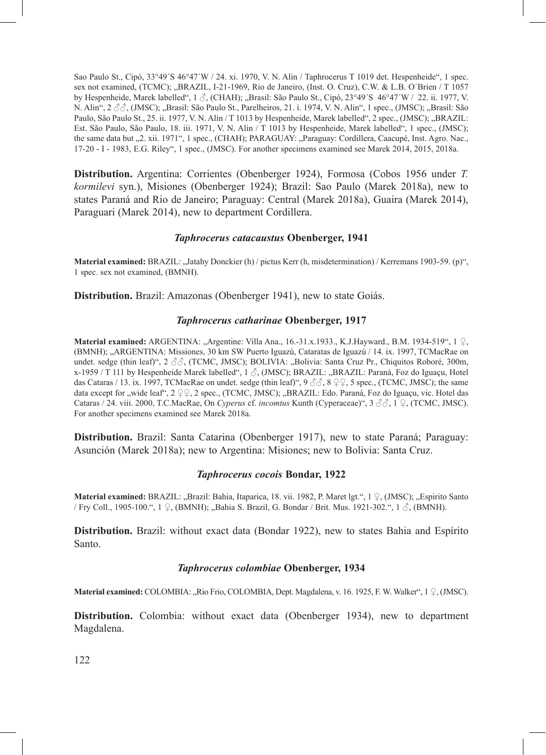Sao Paulo St., Cipó, 33°49´S 46°47´W / 24. xi. 1970, V. N. Alin / Taphrocerus T 1019 det. Hespenheide", 1 spec. sex not examined, (TCMC); "BRAZIL, I-21-1969, Rio de Janeiro, (Inst. O. Cruz), C.W. & L.B. O´Brien / T 1057 by Hespenheide, Marek labelled", 1  $\delta$ , (CHAH); "Brasil: São Paulo St., Cipó, 23°49′S 46°47′W / 22. ii. 1977, V. N. Alin", 2  $\Im\Im$ , (JMSC); "Brasil: São Paulo St., Parelheiros, 21. i. 1974, V. N. Alin", 1 spec., (JMSC); "Brasil: São Paulo, São Paulo St., 25. ii. 1977, V. N. Alin / T 1013 by Hespenheide, Marek labelled", 2 spec., (JMSC); "BRAZIL: Est. São Paulo, São Paulo, 18. iii. 1971, V. N. Alin / T 1013 by Hespenheide, Marek labelled", 1 spec., (JMSC); the same data but "2. xii. 1971", 1 spec., (CHAH); PARAGUAY: "Paraguay: Cordillera, Caacupé, Inst. Agro. Nac., 17-20 - I - 1983, E.G. Riley", 1 spec., (JMSC). For another specimens examined see Marek 2014, 2015, 2018a.

**Distribution.** Argentina: Corrientes (Obenberger 1924), Formosa (Cobos 1956 under *T. kormilevi* syn.), Misiones (Obenberger 1924); Brazil: Sao Paulo (Marek 2018a), new to states Paraná and Rio de Janeiro; Paraguay: Central (Marek 2018a), Guaira (Marek 2014), Paraguari (Marek 2014), new to department Cordillera.

### *Taphrocerus catacaustus* **Obenberger, 1941**

**Material examined:** BRAZIL: "Jatahy Donckier (h) / pictus Kerr (h, misdetermination) / Kerremans 1903-59. (p)", 1 spec. sex not examined, (BMNH).

**Distribution.** Brazil: Amazonas (Obenberger 1941), new to state Goiás.

## *Taphrocerus catharinae* **Obenberger, 1917**

**Material examined:** ARGENTINA: "Argentine: Villa Ana., 16.-31.x.1933., K.J.Hayward., B.M. 1934-519", 1 ♀, (BMNH); "ARGENTINA: Missiones, 30 km SW Puerto Iguazú, Cataratas de Iguazú / 14. ix. 1997, TCMacRae on undet. sedge (thin leaf)", 2  $\Im$ , (TCMC, JMSC); BOLIVIA: "Bolivia: Santa Cruz Pr., Chiquitos Roboré, 300m, x-1959 / T 111 by Hespenheide Marek labelled", 1  $\beta$ , (JMSC); BRAZIL: "BRAZIL: Paraná, Foz do Iguaçu, Hotel das Cataras / 13. ix. 1997, TCMacRae on undet. sedge (thin leaf)", 9 ♂♂, 8 ♀♀, 5 spec., (TCMC, JMSC); the same data except for "wide leaf",  $2 \nsubseteq$ ,  $2 \nsubseteq$ ,  $2 \nsubseteq$ , (TCMC, JMSC); "BRAZIL: Edo. Paraná, Foz do Iguaçu, vic. Hotel das Cataras / 24. viii. 2000, T.C.MacRae, On *Cyperus* cf. *incomtus* Kunth (Cyperaceae)", 3 ♂♂, 1 ♀, (TCMC, JMSC). For another specimens examined see Marek 2018a.

**Distribution.** Brazil: Santa Catarina (Obenberger 1917), new to state Paraná; Paraguay: Asunción (Marek 2018a); new to Argentina: Misiones; new to Bolivia: Santa Cruz.

### *Taphrocerus cocois* **Bondar, 1922**

**Material examined:** BRAZIL: "Brazil: Bahia, Itaparica, 18. vii. 1982, P. Maret lgt.", 1 ♀, (JMSC); "Espirito Santo / Fry Coll., 1905-100.", 1 ♀, (BMNH); "Bahia S. Brazil, G. Bondar / Brit. Mus. 1921-302.", 1 ♂, (BMNH).

**Distribution.** Brazil: without exact data (Bondar 1922), new to states Bahia and Espírito Santo.

### *Taphrocerus colombiae* **Obenberger, 1934**

**Material examined:** COLOMBIA: "Rio Frio, COLOMBIA, Dept. Magdalena, v. 16. 1925, F. W. Walker", 1 ♀, (JMSC).

**Distribution.** Colombia: without exact data (Obenberger 1934), new to department Magdalena.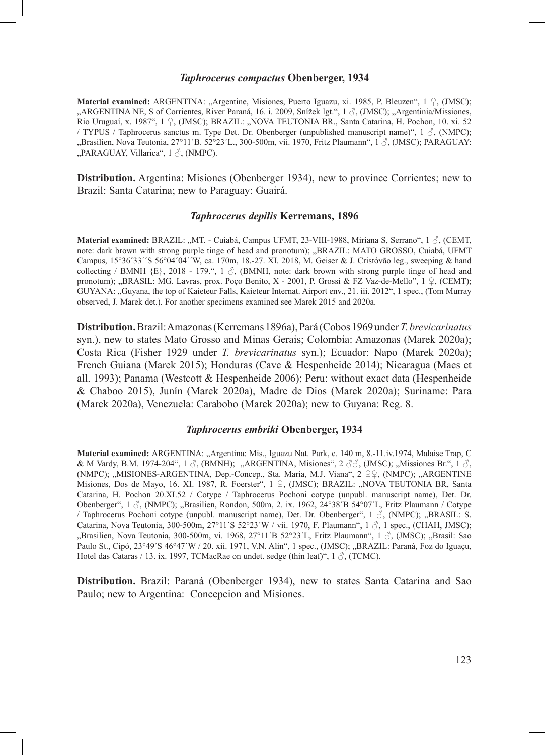#### *Taphrocerus compactus* **Obenberger, 1934**

**Material examined:** ARGENTINA: "Argentine, Misiones, Puerto Iguazu, xi. 1985, P. Bleuzen", 1 ♀, (JMSC); "ARGENTINA NE, S of Corrientes, River Paraná, 16. i. 2009, Snížek lgt.", 1 ♂, (JMSC); "Argentinia/Missiones, Rio Uruguaí, x. 1987", 1 º, (JMSC); BRAZIL: "NOVA TEUTONIA BR., Santa Catarina, H. Pochon, 10. xi. 52 / TYPUS / Taphrocerus sanctus m. Type Det. Dr. Obenberger (unpublished manuscript name)",  $1 \text{ } \hat{\mathcal{S}}$ , (NMPC); "Brasilien, Nova Teutonia, 27°11´B. 52°23´L., 300-500m, vii. 1970, Fritz Plaumann", 1 $\beta$ , (JMSC); PARAGUAY: "PARAGUAY, Villarica", 1  $\delta$ , (NMPC).

**Distribution.** Argentina: Misiones (Obenberger 1934), new to province Corrientes; new to Brazil: Santa Catarina; new to Paraguay: Guairá.

#### *Taphrocerus depilis* **Kerremans, 1896**

**Material examined:** BRAZIL: "MT. - Cuiabá, Campus UFMT, 23-VIII-1988, Miriana S, Serrano", 1 ♂, (CEMT, note: dark brown with strong purple tinge of head and pronotum); "BRAZIL: MATO GROSSO, Cuiabá, UFMT Campus, 15°36´33´´S 56°04´04´´W, ca. 170m, 18.-27. XI. 2018, M. Geiser & J. Cristóvão leg., sweeping & hand collecting / BMNH  ${E}$ , 2018 - 179.", 1  $\circ$ , (BMNH, note: dark brown with strong purple tinge of head and pronotum); "BRASIL: MG. Lavras, prox. Poço Benito, X - 2001, P. Grossi & FZ Vaz-de-Mello", 1 ♀, (CEMT); GUYANA: "Guyana, the top of Kaieteur Falls, Kaieteur Internat. Airport env., 21. iii. 2012", 1 spec., (Tom Murray observed, J. Marek det.). For another specimens examined see Marek 2015 and 2020a.

**Distribution.** Brazil: Amazonas (Kerremans 1896a), Pará (Cobos 1969 under *T. brevicarinatus*  syn.), new to states Mato Grosso and Minas Gerais; Colombia: Amazonas (Marek 2020a); Costa Rica (Fisher 1929 under *T. brevicarinatus* syn.); Ecuador: Napo (Marek 2020a); French Guiana (Marek 2015); Honduras (Cave & Hespenheide 2014); Nicaragua (Maes et all. 1993); Panama (Westcott & Hespenheide 2006); Peru: without exact data (Hespenheide & Chaboo 2015), Junín (Marek 2020a), Madre de Dios (Marek 2020a); Suriname: Para (Marek 2020a), Venezuela: Carabobo (Marek 2020a); new to Guyana: Reg. 8.

## *Taphrocerus embriki* **Obenberger, 1934**

**Material examined:** ARGENTINA: "Argentina: Mis., Iguazu Nat. Park, c. 140 m, 8.-11.iv.1974, Malaise Trap, C & M Vardy, B.M. 1974-204", 1  $\Im$ , (BMNH); "ARGENTINA, Misiones", 2  $\Im$   $\Im$ , (JMSC); "Missiones Br.", 1  $\Im$ , (NMPC); "MISIONES-ARGENTINA, Dep.-Concep., Sta. Maria, M.J. Viana", 2 ºº, (NMPC); "ARGENTINE Misiones, Dos de Mayo, 16. XI. 1987, R. Foerster", 1 ♀, (JMSC); BRAZIL: "NOVA TEUTONIA BR, Santa Catarina, H. Pochon 20.XI.52 / Cotype / Taphrocerus Pochoni cotype (unpubl. manuscript name), Det. Dr. Obenberger",  $1 \text{ }\partial$ , (NMPC); "Brasilien, Rondon, 500m, 2. ix. 1962, 24°38´B 54°07´L, Fritz Plaumann / Cotype / Taphrocerus Pochoni cotype (unpubl. manuscript name), Det. Dr. Obenberger", 1 ♂, (NMPC); "BRASIL: S. Catarina, Nova Teutonia, 300-500m, 27°11′S 52°23′W / vii. 1970, F. Plaumann", 1  $\mathcal{J}$ , 1 spec., (CHAH, JMSC); "Brasilien, Nova Teutonia, 300-500m, vi. 1968, 27°11´B 52°23´L, Fritz Plaumann", 1  $\mathcal{J}$ , (JMSC); "Brasil: Sao Paulo St., Cipó, 23°49´S 46°47´W / 20. xii. 1971, V.N. Alin", 1 spec., (JMSC); "BRAZIL: Paraná, Foz do Iguaçu, Hotel das Cataras / 13. ix. 1997, TCMacRae on undet. sedge (thin leaf)",  $1 \delta$ , (TCMC).

**Distribution.** Brazil: Paraná (Obenberger 1934), new to states Santa Catarina and Sao Paulo; new to Argentina: Concepcion and Misiones.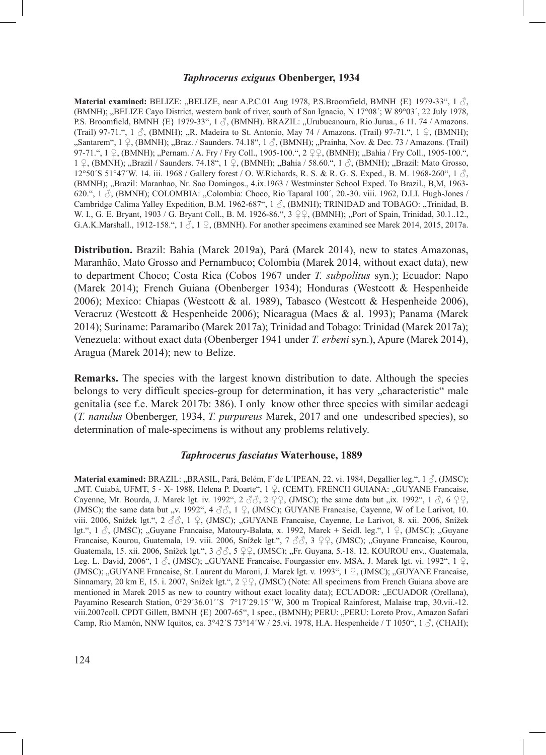### *Taphrocerus exiguus* **Obenberger, 1934**

**Material examined: BELIZE: "BELIZE, near A.P.C.01 Aug 1978, P.S.Broomfield, BMNH {E} 1979-33", 1 3.** (BMNH); "BELIZE Cayo District, western bank of river, south of San Ignacio, N 17°08´; W 89°03´, 22 July 1978, P.S. Broomfield, BMNH  $\{E\}$  1979-33", 1  $\circ$ , (BMNH). BRAZIL: "Urubucanoura, Rio Jurua., 6 11. 74 / Amazons. (Trail) 97-71.", 1  $\beta$ , (BMNH); "R. Madeira to St. Antonio, May 74 / Amazons. (Trail) 97-71.", 1  $\beta$ , (BMNH); "Santarem", 1 ♀, (BMNH); "Braz. / Saunders. 74.18", 1 ♂, (BMNH); "Prainha, Nov. & Dec. 73 / Amazons. (Trail) 97-71.", 1 ♀, (BMNH); "Pernam. / A. Fry / Fry Coll., 1905-100.", 2 ♀♀, (BMNH); "Bahia / Fry Coll., 1905-100.",  $1 \nsubseteq$ , (BMNH); "Brazil / Saunders. 74.18",  $1 \nsubseteq$ , (BMNH); "Bahia / 58.60.",  $1 \nsubseteq$ , (BMNH); "Brazil: Mato Grosso, 12°50´S 51°47´W. 14. iii. 1968 / Gallery forest / O. W.Richards, R. S. & R. G. S. Exped., B. M. 1968-260", 1 ♂, (BMNH); "Brazil: Maranhao, Nr. Sao Domingos., 4.ix.1963 / Westminster School Exped. To Brazil., B,M, 1963- 620.", 1  $\Diamond$ , (BMNH); COLOMBIA: "Colombia: Choco, Rio Taparal 100', 20.-30. viii. 1962, D.LI. Hugh-Jones / Cambridge Calima Yalley Expedition, B.M. 1962-687",  $1 \land$ , (BMNH); TRINIDAD and TOBAGO: "Trinidad, B. W. I., G. E. Bryant, 1903 / G. Bryant Coll., B. M. 1926-86.", 3 ♀♀, (BMNH); "Port of Spain, Trinidad, 30.1..12., G.A.K.Marshall., 1912-158.",  $1 \leq 1 \leq$ , (BMNH). For another specimens examined see Marek 2014, 2015, 2017a.

**Distribution.** Brazil: Bahia (Marek 2019a), Pará (Marek 2014), new to states Amazonas, Maranhão, Mato Grosso and Pernambuco; Colombia (Marek 2014, without exact data), new to department Choco; Costa Rica (Cobos 1967 under *T. subpolitus* syn.); Ecuador: Napo (Marek 2014); French Guiana (Obenberger 1934); Honduras (Westcott & Hespenheide 2006); Mexico: Chiapas (Westcott & al. 1989), Tabasco (Westcott & Hespenheide 2006), Veracruz (Westcott & Hespenheide 2006); Nicaragua (Maes & al. 1993); Panama (Marek 2014); Suriname: Paramaribo (Marek 2017a); Trinidad and Tobago: Trinidad (Marek 2017a); Venezuela: without exact data (Obenberger 1941 under *T. erbeni* syn.), Apure (Marek 2014), Aragua (Marek 2014); new to Belize.

**Remarks.** The species with the largest known distribution to date. Although the species belongs to very difficult species-group for determination, it has very "characteristic" male genitalia (see f.e. Marek 2017b: 386). I only know other three species with similar aedeagi (*T. nanulus* Obenberger, 1934, *T. purpureus* Marek, 2017 and one undescribed species), so determination of male-specimens is without any problems relatively.

#### *Taphrocerus fasciatus* **Waterhouse, 1889**

**Material examined:** BRAZIL: "BRASIL, Pará, Belém, F´de L´IPEAN, 22. vi. 1984, Degallier leg.", 1  $\Im$ , (JMSC); "MT. Cuiabá, UFMT, 5 - X- 1988, Helena P. Doarte", 1 º, (CEMT). FRENCH GUIANA: "GUYANE Francaise, Cayenne, Mt. Bourda, J. Marek lgt. iv. 1992",  $2 \text{ } \textcircled{3}$ ,  $2 \text{ } \textcircled{2}$ , (JMSC); the same data but "ix. 1992",  $1 \text{ } \textcircled{5}$ ,  $6 \text{ } \textcircled{2}$ , (JMSC); the same data but "v. 1992", 4  $\Im \Im$ , 1  $\Im$ , (JMSC); GUYANE Francaise, Cayenne, W of Le Larivot, 10. viii. 2006, Snížek lgt.", 2 ♂♂, 1 ♀, (JMSC); "GUYANE Francaise, Cayenne, Le Larivot, 8. xii. 2006, Snížek lgt.",  $1 \text{ }\mathcal{E}$ , (JMSC); "Guyane Francaise, Matoury-Balata, x. 1992, Marek + Seidl. leg.",  $1 \text{ }\mathcal{Q}$ , (JMSC); "Guyane Francaise, Kourou, Guatemala, 19. viii. 2006, Snížek lgt.", 7 3 3 º º Q, (JMSC); "Guyane Francaise, Kourou, Guatemala, 15. xii. 2006, Snížek lgt.", 3 ♂ 3, 5 ♀♀, (JMSC); "Fr. Guyana, 5.-18. 12. KOUROU env., Guatemala, Leg. L. David, 2006", 1  $\Im$ , (JMSC); "GUYANE Francaise, Fourgassier env. MSA, J. Marek lgt. vi. 1992", 1  $\Im$ , (JMSC); "GUYANE Francaise, St. Laurent du Maroni, J. Marek lgt. v. 1993", 1 ♀, (JMSC); "GUYANE Francaise, Sinnamary, 20 km E, 15. i. 2007, Snížek lgt.", 2 ♀♀, (JMSC) (Note: All specimens from French Guiana above are mentioned in Marek 2015 as new to country without exact locality data); ECUADOR: "ECUADOR (Orellana), Payamino Research Station, 0°29'36.01''S 7°17'29.15''W, 300 m Tropical Rainforest, Malaise trap, 30.vii.-12. viii.2007coll. CPDT Gillett, BMNH {E} 2007-65", 1 spec., (BMNH); PERU: "PERU: Loreto Prov., Amazon Safari Camp, Rio Mamón, NNW Iquitos, ca.  $3^{\circ}42'S73^{\circ}14'W/25.vi.$  1978, H.A. Hespenheide / T 1050", 1  $\circ$ , (CHAH);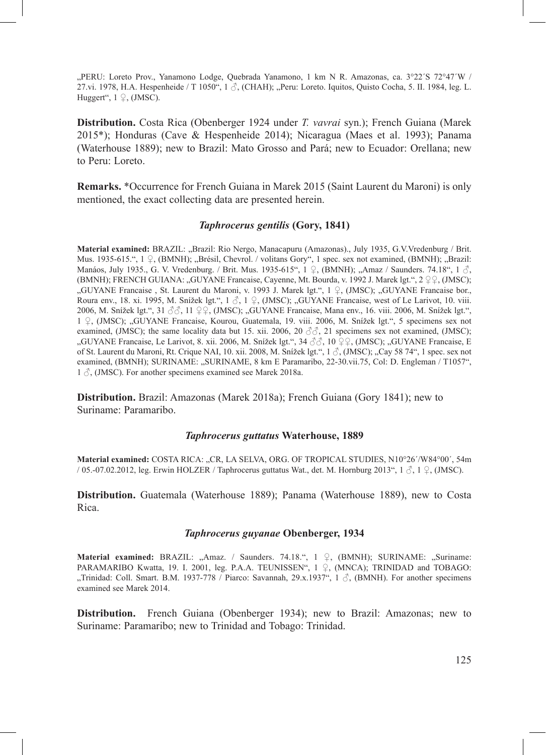"PERU: Loreto Prov., Yanamono Lodge, Quebrada Yanamono, 1 km N R. Amazonas, ca. 3°22′S 72°47′W / 27.vi. 1978, H.A. Hespenheide / T 1050", 1  $\beta$ , (CHAH); "Peru: Loreto. Iquitos, Quisto Cocha, 5. II. 1984, leg. L. Huggert",  $1 \nsubseteq$ , (JMSC).

**Distribution.** Costa Rica (Obenberger 1924 under *T. vavrai* syn.); French Guiana (Marek 2015\*); Honduras (Cave & Hespenheide 2014); Nicaragua (Maes et al. 1993); Panama (Waterhouse 1889); new to Brazil: Mato Grosso and Pará; new to Ecuador: Orellana; new to Peru: Loreto.

**Remarks.** \*Occurrence for French Guiana in Marek 2015 (Saint Laurent du Maroni) is only mentioned, the exact collecting data are presented herein.

## *Taphrocerus gentilis* **(Gory, 1841)**

**Material examined:** BRAZIL: "Brazil: Rio Nergo, Manacapuru (Amazonas)., July 1935, G.V.Vredenburg / Brit. Mus. 1935-615.", 1 ♀, (BMNH); "Brésil, Chevrol. / volitans Gory", 1 spec. sex not examined, (BMNH); "Brazil: Manáos, July 1935., G. V. Vredenburg. / Brit. Mus. 1935-615", 1 ♀, (BMNH); "Amaz / Saunders. 74.18", 1 ♂, (BMNH); FRENCH GUIANA: "GUYANE Francaise, Cayenne, Mt. Bourda, v. 1992 J. Marek lgt.", 2 ♀♀, (JMSC); "GUYANE Francaise , St. Laurent du Maroni, v. 1993 J. Marek lgt.", 1 ♀, (JMSC); "GUYANE Francaise bor., Roura env., 18. xi. 1995, M. Snížek lgt.", 1 3, 1 ♀, (JMSC); "GUYANE Francaise, west of Le Larivot, 10. viii. 2006, M. Snížek lgt.", 31 ♂♂, 11 ♀♀, (JMSC); "GUYANE Francaise, Mana env., 16. viii. 2006, M. Snížek lgt.", 1 ♀, (JMSC); "GUYANE Francaise, Kourou, Guatemala, 19. viii. 2006, M. Snížek lgt.", 5 specimens sex not examined, (JMSC); the same locality data but 15. xii. 2006, 20  $\Im \Im$ , 21 specimens sex not examined, (JMSC); "GUYANE Francaise, Le Larivot, 8. xii. 2006, M. Snížek lgt.", 34 33, 10 º º , (JMSC); "GUYANE Francaise, E of St. Laurent du Maroni, Rt. Crique NAI, 10. xii. 2008, M. Snížek lgt.", 1  $\beta$ , (JMSC); "Cay 58 74", 1 spec. sex not examined, (BMNH); SURINAME: "SURINAME, 8 km E Paramaribo, 22-30.vii.75, Col: D. Engleman / T1057",  $1 \text{ Å}$ , (JMSC). For another specimens examined see Marek 2018a.

**Distribution.** Brazil: Amazonas (Marek 2018a); French Guiana (Gory 1841); new to Suriname: Paramaribo.

#### *Taphrocerus guttatus* **Waterhouse, 1889**

**Material examined:** COSTA RICA: "CR, LA SELVA, ORG. OF TROPICAL STUDIES, N10°26´/W84°00´, 54m / 05.-07.02.2012, leg. Erwin HOLZER / Taphrocerus guttatus Wat., det. M. Hornburg 2013",  $1 \text{ } \mathcal{S}$ ,  $1 \text{ } \mathcal{Q}$ , (JMSC).

**Distribution.** Guatemala (Waterhouse 1889); Panama (Waterhouse 1889), new to Costa Rica.

### *Taphrocerus guyanae* **Obenberger, 1934**

**Material examined:** BRAZIL: "Amaz. / Saunders. 74.18.", 1 ♀, (BMNH); SURINAME: "Suriname: PARAMARIBO Kwatta, 19. I. 2001, leg. P.A.A. TEUNISSEN",  $1 \nsubseteq$ , (MNCA); TRINIDAD and TOBAGO: "Trinidad: Coll. Smart. B.M. 1937-778 / Piarco: Savannah, 29.x.1937", 1 ♂, (BMNH). For another specimens examined see Marek 2014.

**Distribution.** French Guiana (Obenberger 1934); new to Brazil: Amazonas; new to Suriname: Paramaribo; new to Trinidad and Tobago: Trinidad.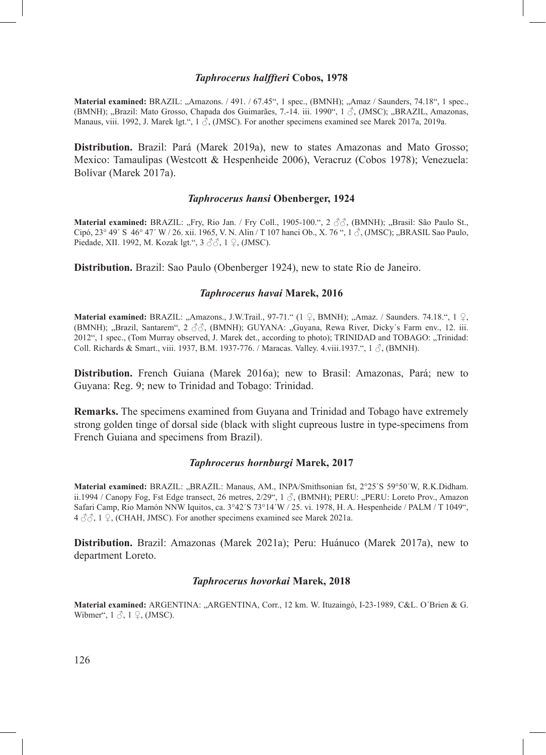### *Taphrocerus halffteri* **Cobos, 1978**

Material examined: BRAZIL: "Amazons. / 491. / 67.45", 1 spec., (BMNH); "Amaz / Saunders, 74.18", 1 spec., (BMNH); "Brazil: Mato Grosso, Chapada dos Guimarães, 7.-14. iii. 1990", 1 3 (JMSC); "BRAZIL, Amazonas, Manaus, viii. 1992, J. Marek lgt.", 1  $\beta$ , (JMSC). For another specimens examined see Marek 2017a, 2019a.

**Distribution.** Brazil: Pará (Marek 2019a), new to states Amazonas and Mato Grosso; Mexico: Tamaulipas (Westcott & Hespenheide 2006), Veracruz (Cobos 1978); Venezuela: Bolívar (Marek 2017a).

#### *Taphrocerus hansi* **Obenberger, 1924**

**Material examined: BRAZIL: "Fry, Rio Jan. / Fry Coll., 1905-100.", 2 33, (BMNH); "Brasil: São Paulo St.,** Cipó, 23° 49′ S 46° 47′ W / 26. xii. 1965, V. N. Alin / T 107 hanci Ob., X. 76 ", 1 ♂, (JMSC); "BRASIL Sao Paulo, Piedade, XII. 1992, M. Kozak lgt.", 3 ♂♂, 1 ♀, (JMSC).

**Distribution.** Brazil: Sao Paulo (Obenberger 1924), new to state Rio de Janeiro.

## *Taphrocerus havai* **Marek, 2016**

**Material examined: BRAZIL: "Amazons., J.W.Trail., 97-71." (1 ♀, BMNH); "Amaz. / Saunders. 74.18.", 1 ♀,** (BMNH); "Brazil, Santarem", 2  $\Im\Im$ , (BMNH); GUYANA: "Guyana, Rewa River, Dicky's Farm env., 12. iii. 2012", 1 spec., (Tom Murray observed, J. Marek det., according to photo); TRINIDAD and TOBAGO: "Trinidad: Coll. Richards & Smart., viii. 1937, B.M. 1937-776. / Maracas. Valley. 4.viii.1937.",  $1 \circled$ , (BMNH).

**Distribution.** French Guiana (Marek 2016a); new to Brasil: Amazonas, Pará; new to Guyana: Reg. 9; new to Trinidad and Tobago: Trinidad.

**Remarks.** The specimens examined from Guyana and Trinidad and Tobago have extremely strong golden tinge of dorsal side (black with slight cupreous lustre in type-specimens from French Guiana and specimens from Brazil).

## *Taphrocerus hornburgi* **Marek, 2017**

**Material examined:** BRAZIL: "BRAZIL: Manaus, AM., INPA/Smithsonian fst, 2°25´S 59°50´W, R.K.Didham. ii.1994 / Canopy Fog, Fst Edge transect, 26 metres,  $2/29$ ",  $1 \text{ }\partial$ , (BMNH); PERU: "PERU: Loreto Prov., Amazon Safari Camp, Rio Mamón NNW Iquitos, ca. 3°42´S 73°14´W / 25. vi. 1978, H. A. Hespenheide / PALM / T 1049",  $4 \text{ } \sqrt[3]{3}$ ,  $1 \text{ } \sqrt{2}$ , (CHAH, JMSC). For another specimens examined see Marek 2021a.

**Distribution.** Brazil: Amazonas (Marek 2021a); Peru: Huánuco (Marek 2017a), new to department Loreto.

### *Taphrocerus hovorkai* **Marek, 2018**

**Material examined:** ARGENTINA: "ARGENTINA, Corr., 12 km. W. Ituzaingó, I-23-1989, C&L. O´Brien & G. Wibmer",  $1 \text{ } \mathcal{S}$ ,  $1 \text{ } \mathcal{Q}$ , (JMSC).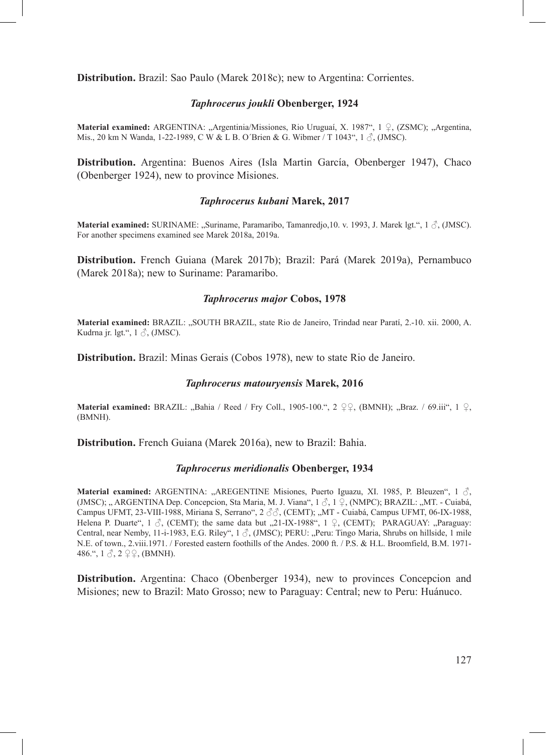**Distribution.** Brazil: Sao Paulo (Marek 2018c); new to Argentina: Corrientes.

### *Taphrocerus joukli* **Obenberger, 1924**

**Material examined:** ARGENTINA: "Argentinia/Missiones, Rio Uruguaí, X. 1987", 1 ♀, (ZSMC); "Argentina, Mis., 20 km N Wanda, 1-22-1989, C W & L B. O'Brien & G. Wibmer / T 1043", 1  $\Diamond$ , (JMSC).

**Distribution.** Argentina: Buenos Aires (Isla Martin García, Obenberger 1947), Chaco (Obenberger 1924), new to province Misiones.

## *Taphrocerus kubani* **Marek, 2017**

**Material examined:** SURINAME: "Suriname, Paramaribo, Tamanredjo,10. v. 1993, J. Marek lgt.", 1 ♂, (JMSC). For another specimens examined see Marek 2018a, 2019a.

**Distribution.** French Guiana (Marek 2017b); Brazil: Pará (Marek 2019a), Pernambuco (Marek 2018a); new to Suriname: Paramaribo.

## *Taphrocerus major* **Cobos, 1978**

**Material examined:** BRAZIL: "SOUTH BRAZIL, state Rio de Janeiro, Trindad near Paratí, 2.-10. xii. 2000, A. Kudrna jr. lgt.",  $1 \delta$ , (JMSC).

**Distribution.** Brazil: Minas Gerais (Cobos 1978), new to state Rio de Janeiro.

### *Taphrocerus matouryensis* **Marek, 2016**

**Material examined:** BRAZIL: "Bahia / Reed / Fry Coll., 1905-100.",  $2 \nsubseteq Q$ , (BMNH); "Braz. / 69.iii", 1  $Q$ , (BMNH).

**Distribution.** French Guiana (Marek 2016a), new to Brazil: Bahia.

### *Taphrocerus meridionalis* **Obenberger, 1934**

**Material examined:** ARGENTINA: "AREGENTINE Misiones, Puerto Iguazu, XI. 1985, P. Bleuzen", 1  $\delta$ , (JMSC); "ARGENTINA Dep. Concepcion, Sta Maria, M. J. Viana",  $1 \text{ } \mathcal{S}$ ,  $1 \text{ } \mathcal{S}$ , (NMPC); BRAZIL: "MT. - Cuiabá, Campus UFMT, 23-VIII-1988, Miriana S, Serrano", 2 ♂♂, (CEMT); "MT - Cuiabá, Campus UFMT, 06-IX-1988, Helena P. Duarte",  $1 \text{ } \diamond$ , (CEMT); the same data but "21-IX-1988",  $1 \text{ } \diamond$ , (CEMT); PARAGUAY: "Paraguay: Central, near Nemby, 11-i-1983, E.G. Riley", 1 3, (JMSC); PERU: "Peru: Tingo Maria, Shrubs on hillside, 1 mile N.E. of town., 2.viii.1971. / Forested eastern foothills of the Andes. 2000 ft. / P.S. & H.L. Broomfield, B.M. 1971- 486.",  $1 \leq 2 \leq 2$ , (BMNH).

**Distribution.** Argentina: Chaco (Obenberger 1934), new to provinces Concepcion and Misiones; new to Brazil: Mato Grosso; new to Paraguay: Central; new to Peru: Huánuco.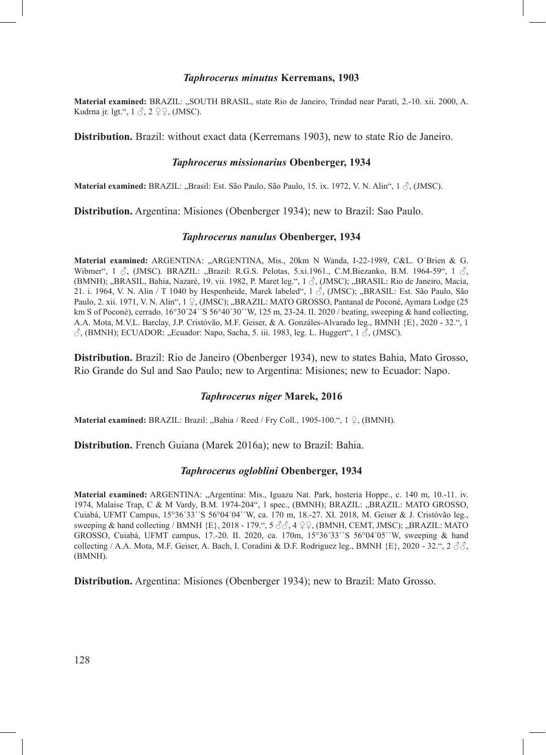#### *Taphrocerus minutus* **Kerremans, 1903**

**Material examined:** BRAZIL: "SOUTH BRASIL, state Rio de Janeiro, Trindad near Paratí, 2.-10. xii. 2000, A. Kudrna jr. lgt.",  $1 \text{ } \textcircled{}$ ,  $2 \text{ } \textcircled{} \textcircled{}$ , (JMSC).

**Distribution.** Brazil: without exact data (Kerremans 1903), new to state Rio de Janeiro.

#### *Taphrocerus missionarius* **Obenberger, 1934**

**Material examined:** BRAZIL: "Brasil: Est. São Paulo, São Paulo, 15. ix. 1972, V. N. Alin", 1 ♂, (JMSC).

**Distribution.** Argentina: Misiones (Obenberger 1934); new to Brazil: Sao Paulo.

### *Taphrocerus nanulus* **Obenberger, 1934**

**Material examined:** ARGENTINA: "ARGENTINA, Mis., 20km N Wanda, I-22-1989, C&L. O´Brien & G. Wibmer", 1  $\beta$ , (JMSC). BRAZIL: "Brazil: R.G.S. Pelotas, 5.xi.1961., C.M.Biezanko, B.M. 1964-59", 1  $\beta$ . (BMNH); "BRASIL, Bahia, Nazaré, 19. vii. 1982, P. Maret leg.", 1  $\delta$ , (JMSC); "BRASIL: Rio de Janeiro, Macía, 21. i. 1964, V. N. Alin / T 1040 by Hespenheide, Marek labeled",  $1 \land$ , (JMSC); "BRASIL: Est. São Paulo, São Paulo, 2. xii. 1971, V. N. Alin", 1 ♀, (JMSC); "BRAZIL: MATO GROSSO, Pantanal de Poconé, Aymara Lodge (25 km S of Poconé), cerrado. 16°30´24´´S 56°40´30´´W, 125 m, 23-24. II. 2020 / beating, sweeping & hand collecting, A.A. Mota, M.V.L. Barclay, J.P. Cristóvão, M.F. Geiser, & A. Gonzáles-Alvarado leg., BMNH {E}, 2020 - 32.", 1  $\beta$ , (BMNH); ECUADOR: "Ecuador: Napo, Sacha, 5. iii. 1983, leg. L. Huggert", 1 $\beta$ , (JMSC).

**Distribution.** Brazil: Rio de Janeiro (Obenberger 1934), new to states Bahia, Mato Grosso, Rio Grande do Sul and Sao Paulo; new to Argentina: Misiones; new to Ecuador: Napo.

## *Taphrocerus niger* **Marek, 2016**

**Material examined:** BRAZIL: Brazil: "Bahia / Reed / Fry Coll., 1905-100.",  $1 \nsubseteq$ , (BMNH).

**Distribution.** French Guiana (Marek 2016a); new to Brazil: Bahia.

## *Taphrocerus ogloblini* **Obenberger, 1934**

Material examined: ARGENTINA: "Argentina: Mis., Iguazu Nat. Park, hosteria Hoppe., c. 140 m, 10.-11. iv. 1974, Malaise Trap, C & M Vardy, B.M. 1974-204", 1 spec., (BMNH); BRAZIL: "BRAZIL: MATO GROSSO, Cuiabá, UFMT Campus, 15°36´33´´S 56°04´04´´W, ca. 170 m, 18.-27. XI. 2018, M. Geiser & J. Cristóvão leg., sweeping & hand collecting / BMNH  ${E}$ , 2018 - 179.", 5  $\Im$   $\Im$ , 4  $\Im$   $\Im$ , (BMNH, CEMT, JMSC); "BRAZIL: MATO GROSSO, Cuiabá, UFMT campus, 17.-20. II. 2020, ca. 170m, 15°36´33´´S 56°04´05´´W, sweeping & hand collecting / A.A. Mota, M.F. Geiser, A. Bach, I. Coradini & D.F. Rodriguez leg., BMNH  $\{E\}$ , 2020 - 32.", 2  $\Im$ (BMNH).

**Distribution.** Argentina: Misiones (Obenberger 1934); new to Brazil: Mato Grosso.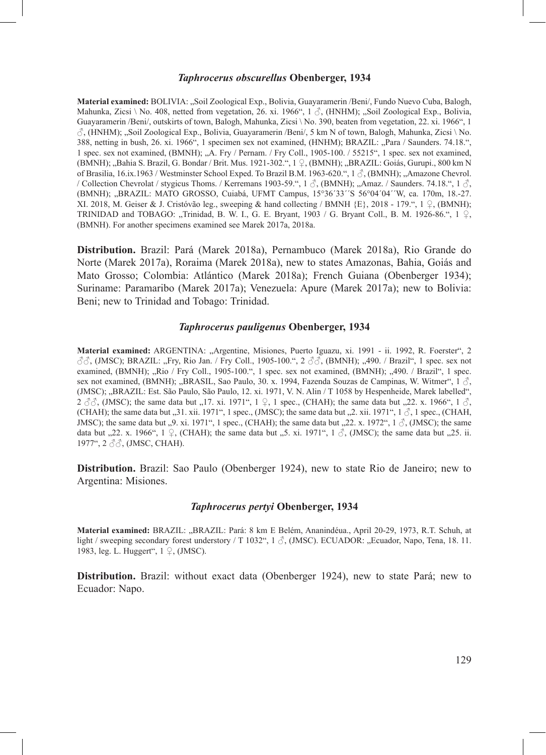### *Taphrocerus obscurellus* **Obenberger, 1934**

**Material examined:** BOLIVIA: "Soil Zoological Exp., Bolivia, Guayaramerin /Beni/, Fundo Nuevo Cuba, Balogh, Mahunka, Zicsi \ No. 408, netted from vegetation, 26. xi. 1966", 1  $\beta$ , (HNHM); "Soil Zoological Exp., Bolivia, Guayaramerin /Beni/, outskirts of town, Balogh, Mahunka, Zicsi \ No. 390, beaten from vegetation, 22. xi. 1966", 1  $\hat{\circ}$ , (HNHM); "Soil Zoological Exp., Bolivia, Guayaramerin /Beni/, 5 km N of town, Balogh, Mahunka, Zicsi \ No. 388, netting in bush, 26. xi. 1966", 1 specimen sex not examined, (HNHM); BRAZIL: "Para / Saunders. 74.18.", 1 spec. sex not examined, (BMNH); "A. Fry / Pernam. / Fry Coll., 1905-100. / 55215", 1 spec. sex not examined, (BMNH); "Bahia S. Brazil, G. Bondar / Brit. Mus. 1921-302.", 1 ♀, (BMNH); "BRAZIL: Goiás, Gurupi., 800 km N of Brasilia, 16.ix.1963 / Westminster School Exped. To Brazil B.M. 1963-620.", 1  $\beta$ , (BMNH); "Amazone Chevrol. / Collection Chevrolat / stygicus Thoms. / Kerremans 1903-59.",  $1 \beta$ , (BMNH); "Amaz. / Saunders. 74.18.",  $1 \beta$ , (BMNH); "BRAZIL: MATO GROSSO, Cuiabá, UFMT Campus, 15°36´33´´S 56°04´04´´W, ca. 170m, 18.-27. XI. 2018, M. Geiser & J. Cristóvão leg., sweeping & hand collecting / BMNH {E}, 2018 - 179.", 1 ♀, (BMNH); TRINIDAD and TOBAGO: "Trinidad, B. W. I., G. E. Bryant, 1903 / G. Bryant Coll., B. M. 1926-86.", 1  $\varphi$ , (BMNH). For another specimens examined see Marek 2017a, 2018a.

**Distribution.** Brazil: Pará (Marek 2018a), Pernambuco (Marek 2018a), Rio Grande do Norte (Marek 2017a), Roraima (Marek 2018a), new to states Amazonas, Bahia, Goiás and Mato Grosso; Colombia: Atlántico (Marek 2018a); French Guiana (Obenberger 1934); Suriname: Paramaribo (Marek 2017a); Venezuela: Apure (Marek 2017a); new to Bolivia: Beni; new to Trinidad and Tobago: Trinidad.

#### *Taphrocerus pauligenus* **Obenberger, 1934**

Material examined: ARGENTINA: "Argentine, Misiones, Puerto Iguazu, xi. 1991 - ii. 1992, R. Foerster", 2  $\sqrt[3]{\zeta}$ , (JMSC); BRAZIL: "Fry, Rio Jan. / Fry Coll., 1905-100.", 2  $\sqrt[3]{\zeta}$ , (BMNH); "490. / Brazil", 1 spec. sex not examined, (BMNH); "Rio / Fry Coll., 1905-100.", 1 spec. sex not examined, (BMNH); "490. / Brazil", 1 spec. sex not examined, (BMNH); "BRASIL, Sao Paulo, 30. x. 1994, Fazenda Souzas de Campinas, W. Witmer", 1  $\circ$ , (JMSC); "BRAZIL: Est. São Paulo, São Paulo, 12. xi. 1971, V. N. Alin / T 1058 by Hespenheide, Marek labelled", 2  $\partial$ , (JMSC); the same data but  $\Box$ 17. xi. 1971", 1  $\Box$ , 1 spec., (CHAH); the same data but  $\Box$ 22. x. 1966", 1  $\Box$ , (CHAH); the same data but  $,31.$  xii. 1971", 1 spec., (JMSC); the same data but  $,2.$  xii. 1971", 1  $\circ$ , 1 spec., (CHAH, JMSC); the same data but  $,9$ . xi. 1971", 1 spec., (CHAH); the same data but  $,22$ . x. 1972", 1  $\circ$ , (JMSC); the same data but "22. x. 1966", 1  $\varphi$ , (CHAH); the same data but "5. xi. 1971", 1  $\varphi$ , (JMSC); the same data but "25. ii. 1977", 2 ♂♂, (JMSC, CHAH).

**Distribution.** Brazil: Sao Paulo (Obenberger 1924), new to state Rio de Janeiro; new to Argentina: Misiones.

### *Taphrocerus pertyi* **Obenberger, 1934**

Material examined: BRAZIL: "BRAZIL: Pará: 8 km E Belém, Ananindéua., April 20-29, 1973, R.T. Schuh, at light / sweeping secondary forest understory / T 1032", 1  $\Diamond$ , (JMSC). ECUADOR: "Ecuador, Napo, Tena, 18. 11. 1983, leg. L. Huggert", 1 ♀, (JMSC).

**Distribution.** Brazil: without exact data (Obenberger 1924), new to state Pará; new to Ecuador: Napo.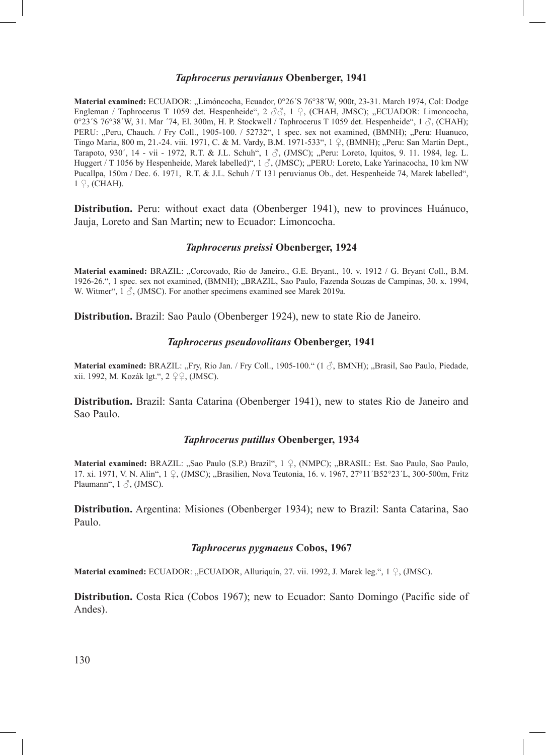### *Taphrocerus peruvianus* **Obenberger, 1941**

**Material examined:** ECUADOR: "Limóncocha, Ecuador, 0°26´S 76°38´W, 900t, 23-31. March 1974, Col: Dodge Engleman / Taphrocerus T 1059 det. Hespenheide", 2 33, 1 ♀, (CHAH, JMSC); "ECUADOR: Limoncocha, 0°23´S 76°38´W, 31. Mar  $74$ , El. 300m, H. P. Stockwell / Taphrocerus T 1059 det. Hespenheide", 1  $\delta$ , (CHAH); PERU: "Peru, Chauch. / Fry Coll., 1905-100. / 52732", 1 spec. sex not examined, (BMNH); "Peru: Huanuco, Tingo Maria, 800 m, 21.-24. viii. 1971, C. & M. Vardy, B.M. 1971-533", 1 ♀, (BMNH); "Peru: San Martin Dept., Tarapoto, 930´, 14 - vii - 1972, R.T. & J.L. Schuh", 1  $\delta$ , (JMSC); "Peru: Loreto, Iquitos, 9. 11. 1984, leg. L. Huggert / T 1056 by Hespenheide, Marek labelled)",  $1 \textdegree$ , (JMSC); "PERU: Loreto, Lake Yarinacocha, 10 km NW Pucallpa, 150m / Dec. 6. 1971, R.T. & J.L. Schuh / T 131 peruvianus Ob., det. Hespenheide 74, Marek labelled", 1 ♀, (CHAH).

**Distribution.** Peru: without exact data (Obenberger 1941), new to provinces Huánuco, Jauja, Loreto and San Martin; new to Ecuador: Limoncocha.

### *Taphrocerus preissi* **Obenberger, 1924**

**Material examined:** BRAZIL: "Corcovado, Rio de Janeiro., G.E. Bryant., 10. v. 1912 / G. Bryant Coll., B.M. 1926-26.", 1 spec. sex not examined, (BMNH); "BRAZIL, Sao Paulo, Fazenda Souzas de Campinas, 30. x. 1994, W. Witmer",  $1 \text{ } \textcircled{}$ , (JMSC). For another specimens examined see Marek 2019a.

**Distribution.** Brazil: Sao Paulo (Obenberger 1924), new to state Rio de Janeiro.

## *Taphrocerus pseudovolitans* **Obenberger, 1941**

**Material examined:** BRAZIL: "Fry, Rio Jan. / Fry Coll., 1905-100." (1 ♂, BMNH); "Brasil, Sao Paulo, Piedade, xii. 1992, M. Kozák lgt.", 2 ♀♀, (JMSC).

**Distribution.** Brazil: Santa Catarina (Obenberger 1941), new to states Rio de Janeiro and Sao Paulo.

## *Taphrocerus putillus* **Obenberger, 1934**

**Material examined:** BRAZIL: "Sao Paulo (S.P.) Brazil", 1 ♀, (NMPC); "BRASIL: Est. Sao Paulo, Sao Paulo, 17. xi. 1971, V. N. Alin", 1 ♀, (JMSC); "Brasilien, Nova Teutonia, 16. v. 1967, 27°11´B52°23´L, 300-500m, Fritz Plaumann",  $1 \delta$ , (JMSC).

**Distribution.** Argentina: Misiones (Obenberger 1934); new to Brazil: Santa Catarina, Sao Paulo.

## *Taphrocerus pygmaeus* **Cobos, 1967**

**Material examined:** ECUADOR: "ECUADOR, Alluriquín, 27. vii. 1992, J. Marek leg.", 1 ♀, (JMSC).

**Distribution.** Costa Rica (Cobos 1967); new to Ecuador: Santo Domingo (Pacific side of Andes).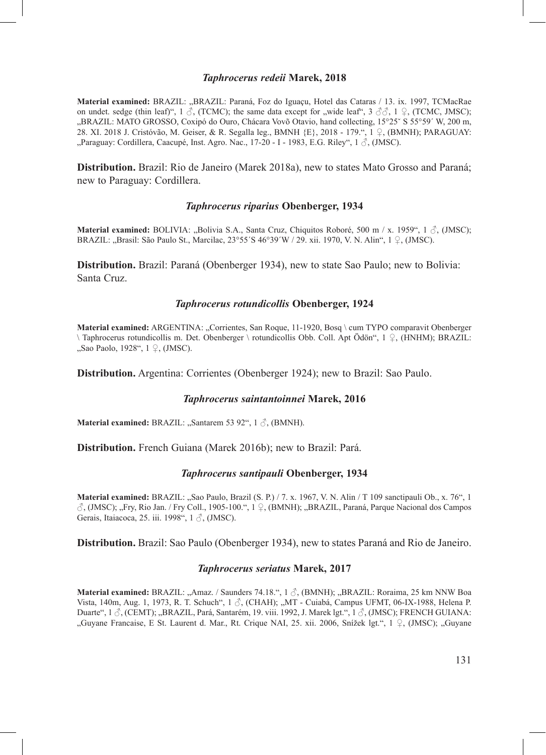#### *Taphrocerus redeii* **Marek, 2018**

**Material examined:** BRAZIL: "BRAZIL: Paraná, Foz do Iguaçu, Hotel das Cataras / 13. ix. 1997, TCMacRae on undet. sedge (thin leaf)",  $1 \text{ } \mathcal{S}$ , (TCMC); the same data except for ,,wide leaf",  $3 \text{ } \mathcal{S} \mathcal{S}$ ,  $1 \text{ } \mathcal{S}$ , (TCMC, JMSC); "BRAZIL: MATO GROSSO, Coxipó do Ouro, Chácara Vovõ Otavio, hand collecting, 15°25´ S 55°59´ W, 200 m, 28. XI. 2018 J. Cristóvão, M. Geiser, & R. Segalla leg., BMNH {E}, 2018 - 179.", 1 ♀, (BMNH); PARAGUAY: "Paraguay: Cordillera, Caacupé, Inst. Agro. Nac., 17-20 - I - 1983, E.G. Riley", 1 ♂, (JMSC).

**Distribution.** Brazil: Rio de Janeiro (Marek 2018a), new to states Mato Grosso and Paraná; new to Paraguay: Cordillera.

### *Taphrocerus riparius* **Obenberger, 1934**

**Material examined:** BOLIVIA: "Bolivia S.A., Santa Cruz, Chiquitos Roboré, 500 m / x. 1959", 1 ♂, (JMSC); BRAZIL: "Brasil: São Paulo St., Marcilac, 23°55´S 46°39´W / 29. xii. 1970, V. N. Alin", 1 ♀, (JMSC).

**Distribution.** Brazil: Paraná (Obenberger 1934), new to state Sao Paulo; new to Bolivia: Santa Cruz.

#### *Taphrocerus rotundicollis* **Obenberger, 1924**

Material examined: ARGENTINA: "Corrientes, San Roque, 11-1920, Bosq \ cum TYPO comparavit Obenberger \ Taphrocerus rotundicollis m. Det. Obenberger \ rotundicollis Obb. Coll. Apt Ӧdön", 1 ♀, (HNHM); BRAZIL: "Sao Paolo, 1928", 1 ♀, (JMSC).

**Distribution.** Argentina: Corrientes (Obenberger 1924); new to Brazil: Sao Paulo.

### *Taphrocerus saintantoinnei* **Marek, 2016**

**Material examined:** BRAZIL: "Santarem 53 92", 1 3, (BMNH).

**Distribution.** French Guiana (Marek 2016b); new to Brazil: Pará.

#### *Taphrocerus santipauli* **Obenberger, 1934**

**Material examined:** BRAZIL: "Sao Paulo, Brazil (S. P.) / 7. x. 1967, V. N. Alin / T 109 sanctipauli Ob., x. 76", 1 ♂, (JMSC); "Fry, Rio Jan. / Fry Coll., 1905-100.", 1 ♀, (BMNH); "BRAZIL, Paraná, Parque Nacional dos Campos Gerais, Itaiacoca, 25. iii. 1998", 1 3, (JMSC).

**Distribution.** Brazil: Sao Paulo (Obenberger 1934), new to states Paraná and Rio de Janeiro.

#### *Taphrocerus seriatus* **Marek, 2017**

**Material examined:** BRAZIL: "Amaz. / Saunders 74.18.", 1 3 (BMNH); "BRAZIL: Roraima, 25 km NNW Boa Vista, 140m, Aug. 1, 1973, R. T. Schuch", 1  $\delta$ , (CHAH); "MT - Cuiabá, Campus UFMT, 06-IX-1988, Helena P. Duarte", 1 3, (CEMT); "BRAZIL, Pará, Santarém, 19. viii. 1992, J. Marek lgt.", 1 3, (JMSC); FRENCH GUIANA: "Guyane Francaise, E St. Laurent d. Mar., Rt. Crique NAI, 25. xii. 2006, Snížek lgt.", 1 ♀, (JMSC); "Guyane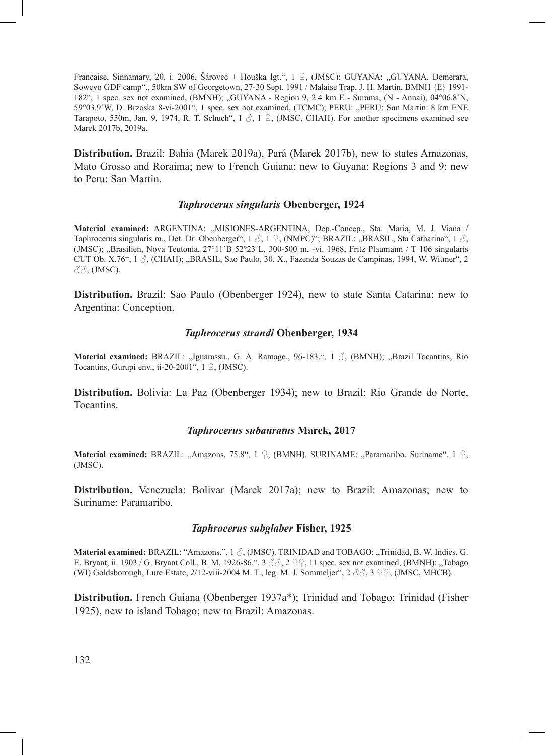Francaise, Sinnamary, 20. i. 2006, Šárovec + Houška lgt.", 1 ♀, (JMSC); GUYANA: "GUYANA, Demerara, Soweyo GDF camp"., 50km SW of Georgetown, 27-30 Sept. 1991 / Malaise Trap, J. H. Martin, BMNH {E} 1991- 182", 1 spec. sex not examined, (BMNH); "GUYANA - Region 9, 2.4 km E - Surama, (N - Annai), 04°06.8´N, 59°03.9′W, D. Brzoska 8-vi-2001", 1 spec. sex not examined, (TCMC); PERU: "PERU: San Martin: 8 km ENE Tarapoto, 550m, Jan. 9, 1974, R. T. Schuch",  $1 \text{ } \overset{\circ}{\circ}$ ,  $1 \text{ } \frac{\circ}{\circ}$ , (JMSC, CHAH). For another specimens examined see Marek 2017b, 2019a.

**Distribution.** Brazil: Bahia (Marek 2019a), Pará (Marek 2017b), new to states Amazonas, Mato Grosso and Roraima; new to French Guiana; new to Guyana: Regions 3 and 9; new to Peru: San Martin.

### *Taphrocerus singularis* **Obenberger, 1924**

**Material examined:** ARGENTINA: "MISIONES-ARGENTINA, Dep.-Concep., Sta. Maria, M. J. Viana / Taphrocerus singularis m., Det. Dr. Obenberger",  $1 \leq \lambda$ ,  $1 \subseteq \Omega$ , (NMPC)"; BRAZIL: "BRASIL, Sta Catharina",  $1 \leq \lambda$ (JMSC); "Brasilien, Nova Teutonia, 27°11′B 52°23′L, 300-500 m, -vi. 1968, Fritz Plaumann / T 106 singularis CUT Ob. X.76",  $1 \land$ , (CHAH); "BRASIL, Sao Paulo, 30. X., Fazenda Souzas de Campinas, 1994, W. Witmer", 2  $\partial \delta$ , (JMSC).

**Distribution.** Brazil: Sao Paulo (Obenberger 1924), new to state Santa Catarina; new to Argentina: Conception.

### *Taphrocerus strandi* **Obenberger, 1934**

**Material examined:** BRAZIL: "Iguarassu., G. A. Ramage., 96-183.", 1 3, (BMNH); "Brazil Tocantins, Rio Tocantins, Gurupi env., ii-20-2001",  $1 \nsubseteq$ , (JMSC).

**Distribution.** Bolivia: La Paz (Obenberger 1934); new to Brazil: Rio Grande do Norte, Tocantins.

#### *Taphrocerus subauratus* **Marek, 2017**

Material examined: BRAZIL: "Amazons. 75.8", 1 ♀, (BMNH). SURINAME: "Paramaribo, Suriname", 1 ♀, (JMSC).

**Distribution.** Venezuela: Bolivar (Marek 2017a); new to Brazil: Amazonas; new to Suriname: Paramaribo.

### *Taphrocerus subglaber* **Fisher, 1925**

**Material examined:** BRAZIL: "Amazons.", 1 ∂, (JMSC). TRINIDAD and TOBAGO: "Trinidad, B. W. Indies, G. E. Bryant, ii. 1903 / G. Bryant Coll., B. M. 1926-86.",  $3 \text{ } \mathcal{S} \mathcal{S}$ ,  $2 \text{ } \mathcal{Q}$ , 11 spec. sex not examined, (BMNH); "Tobago (WI) Goldsborough, Lure Estate, 2/12-viii-2004 M. T., leg. M. J. Sommeljer", 2 ♂♂, 3 ♀♀, (JMSC, MHCB).

**Distribution.** French Guiana (Obenberger 1937a\*); Trinidad and Tobago: Trinidad (Fisher 1925), new to island Tobago; new to Brazil: Amazonas.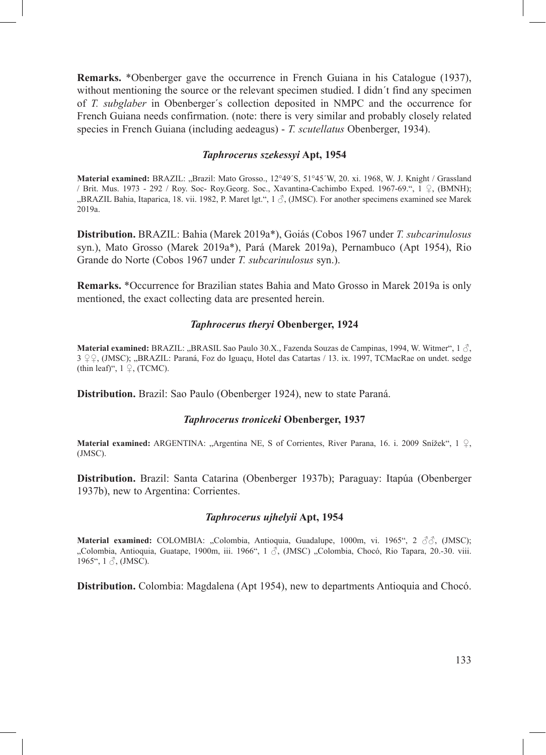**Remarks.** \*Obenberger gave the occurrence in French Guiana in his Catalogue (1937), without mentioning the source or the relevant specimen studied. I didn´t find any specimen of *T. subglaber* in Obenberger´s collection deposited in NMPC and the occurrence for French Guiana needs confirmation. (note: there is very similar and probably closely related species in French Guiana (including aedeagus) - *T. scutellatus* Obenberger, 1934).

## *Taphrocerus szekessyi* **Apt, 1954**

**Material examined:** BRAZIL: "Brazil: Mato Grosso., 12°49´S, 51°45´W, 20. xi. 1968, W. J. Knight / Grassland / Brit. Mus. 1973 - 292 / Roy. Soc- Roy.Georg. Soc., Xavantina-Cachimbo Exped. 1967-69.", 1 ♀, (BMNH); "BRAZIL Bahia, Itaparica, 18. vii. 1982, P. Maret lgt.", 1 ♂, (JMSC). For another specimens examined see Marek 2019a.

**Distribution.** BRAZIL: Bahia (Marek 2019a\*), Goiás (Cobos 1967 under *T. subcarinulosus*  syn.), Mato Grosso (Marek 2019a\*), Pará (Marek 2019a), Pernambuco (Apt 1954), Rio Grande do Norte (Cobos 1967 under *T. subcarinulosus* syn.).

**Remarks.** \*Occurrence for Brazilian states Bahia and Mato Grosso in Marek 2019a is only mentioned, the exact collecting data are presented herein.

## *Taphrocerus theryi* **Obenberger, 1924**

**Material examined:** BRAZIL: "BRASIL Sao Paulo 30.X., Fazenda Souzas de Campinas, 1994, W. Witmer", 1  $\circ$ , 3 º º ∩, (JMSC); "BRAZIL: Paraná, Foz do Iguaçu, Hotel das Catartas / 13. ix. 1997, TCMacRae on undet. sedge (thin leaf)",  $1 \nsubseteq$ , (TCMC).

**Distribution.** Brazil: Sao Paulo (Obenberger 1924), new to state Paraná.

#### *Taphrocerus troniceki* **Obenberger, 1937**

**Material examined:** ARGENTINA: "Argentina NE, S of Corrientes, River Parana, 16. i. 2009 Snížek", 1 ♀, (JMSC).

**Distribution.** Brazil: Santa Catarina (Obenberger 1937b); Paraguay: Itapúa (Obenberger 1937b), new to Argentina: Corrientes.

## *Taphrocerus ujhelyii* **Apt, 1954**

**Material examined:** COLOMBIA: "Colombia, Antioquia, Guadalupe, 1000m, vi. 1965", 2  $\Im \Im$ , (JMSC); "Colombia, Antioquia, Guatape, 1900m, iii. 1966", 1  $\circ$ , (JMSC) "Colombia, Chocó, Rio Tapara, 20.-30. viii. 1965", 1 ♂, (JMSC).

**Distribution.** Colombia: Magdalena (Apt 1954), new to departments Antioquia and Chocó.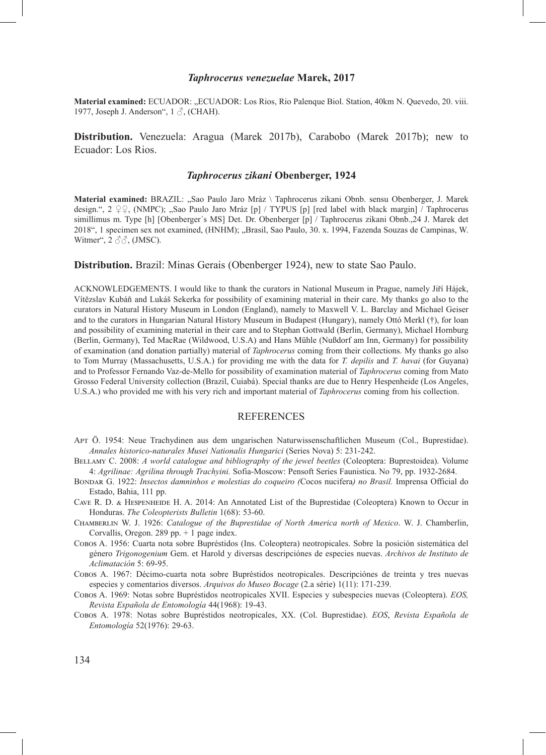#### *Taphrocerus venezuelae* **Marek, 2017**

**Material examined:** ECUADOR: "ECUADOR: Los Rios, Rio Palenque Biol. Station, 40km N. Quevedo, 20. viii. 1977, Joseph J. Anderson", 1  $\delta$ , (CHAH).

**Distribution.** Venezuela: Aragua (Marek 2017b), Carabobo (Marek 2017b); new to Ecuador: Los Rios.

#### *Taphrocerus zikani* **Obenberger, 1924**

**Material examined:** BRAZIL: "Sao Paulo Jaro Mráz \ Taphrocerus zikani Obnb. sensu Obenberger, J. Marek design.", 2 ♀♀, (NMPC); "Sao Paulo Jaro Mráz [p] / TYPUS [p] [red label with black margin] / Taphrocerus simillimus m. Type [h] [Obenberger´s MS] Det. Dr. Obenberger [p] / Taphrocerus zikani Obnb.,24 J. Marek det 2018", 1 specimen sex not examined, (HNHM); "Brasil, Sao Paulo, 30. x. 1994, Fazenda Souzas de Campinas, W. Witmer",  $2 \angle \angle \Diamond \Diamond$ , (JMSC).

**Distribution.** Brazil: Minas Gerais (Obenberger 1924), new to state Sao Paulo.

ACKNOWLEDGEMENTS. I would like to thank the curators in National Museum in Prague, namely Jiří Hájek, Vítězslav Kubáň and Lukáš Sekerka for possibility of examining material in their care. My thanks go also to the curators in Natural History Museum in London (England), namely to Maxwell V. L. Barclay and Michael Geiser and to the curators in Hungarian Natural History Museum in Budapest (Hungary), namely Ottó Merkl (†), for loan and possibility of examining material in their care and to Stephan Gottwald (Berlin, Germany), Michael Hornburg (Berlin, Germany), Ted MacRae (Wildwood, U.S.A) and Hans Mühle (Nußdorf am Inn, Germany) for possibility of examination (and donation partially) material of *Taphrocerus* coming from their collections. My thanks go also to Tom Murray (Massachusetts, U.S.A.) for providing me with the data for *T. depilis* and *T. havai* (for Guyana) and to Professor Fernando Vaz-de-Mello for possibility of examination material of *Taphrocerus* coming from Mato Grosso Federal University collection (Brazil, Cuiabá). Special thanks are due to Henry Hespenheide (Los Angeles, U.S.A.) who provided me with his very rich and important material of *Taphrocerus* coming from his collection.

#### REFERENCES

Apt Ӧ. 1954: Neue Trachydinen aus dem ungarischen Naturwissenschaftlichen Museum (Col., Buprestidae). *Annales historico-naturales Musei Nationalis Hungarici* (Series Nova) 5: 231-242.

Bellamy C. 2008: *A world catalogue and bibliography of the jewel beetles* (Coleoptera: Buprestoidea). Volume 4: *Agrilinae: Agrilina through Trachyini.* Sofia-Moscow: Pensoft Series Faunistica. No 79, pp. 1932-2684.

- Bondar G. 1922: *Insectos damninhos e molestias do coqueiro (*Cocos nucifera*) no Brasil.* Imprensa Official do Estado, Bahia, 111 pp.
- Cave R. D. & Hespenheide H. A. 2014: An Annotated List of the Buprestidae (Coleoptera) Known to Occur in Honduras. *The Coleopterists Bulletin* 1(68): 53-60.
- Chamberlin W. J. 1926: *Catalogue of the Buprestidae of North America north of Mexico*. W. J. Chamberlin, Corvallis, Oregon. 289 pp. + 1 page index.
- Cobos A. 1956: Cuarta nota sobre Bupréstidos (Ins. Coleoptera) neotropicales. Sobre la posición sistemática del género *Trigonogenium* Gem. et Harold y diversas descripciónes de especies nuevas. *Archivos de Instituto de Aclimatación* 5: 69-95.
- Cobos A. 1967: Décimo-cuarta nota sobre Bupréstidos neotropicales. Descripciónes de treinta y tres nuevas especies y comentarios diversos. *Arquivos do Museo Bocage* (2.a série) 1(11): 171-239.
- Cobos A. 1969: Notas sobre Bupréstidos neotropicales XVII. Especies y subespecies nuevas (Coleoptera). *EOS, Revista Española de Entomología* 44(1968): 19-43.
- Cobos A. 1978: Notas sobre Bupréstidos neotropicales, XX. (Col. Buprestidae). *EOS*, *Revista Española de Entomología* 52(1976): 29-63.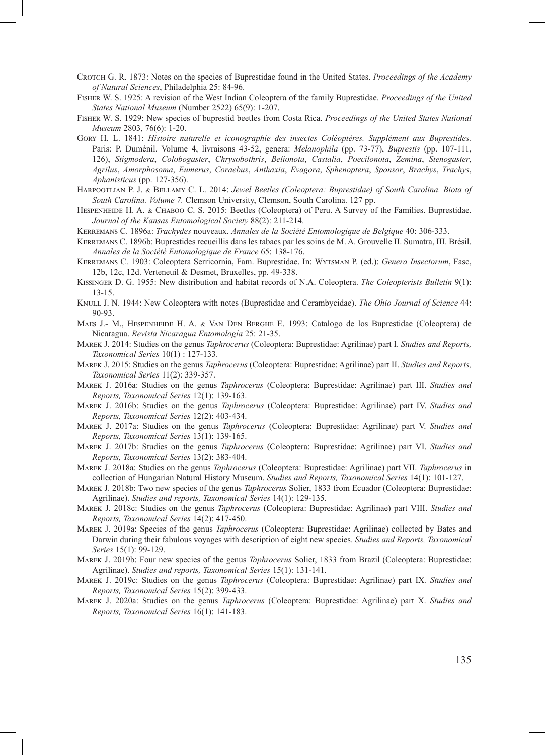- Crotch G. R. 1873: Notes on the species of Buprestidae found in the United States. *Proceedings of the Academy of Natural Sciences*, Philadelphia 25: 84-96.
- Fisher W. S. 1925: A revision of the West Indian Coleoptera of the family Buprestidae. *Proceedings of the United States National Museum* (Number 2522) 65(9): 1-207.
- Fisher W. S. 1929: New species of buprestid beetles from Costa Rica. *Proceedings of the United States National Museum* 2803, 76(6): 1-20.
- Gory H. L. 1841: *Histoire naturelle et iconographie des insectes Coléoptères. Supplément aux Buprestides.*  Paris: P. Duménil. Volume 4, livraisons 43-52, genera: *Melanophila* (pp. 73-77), *Buprestis* (pp. 107-111, 126), *Stigmodera*, *Colobogaster*, *Chrysobothris*, *Belionota*, *Castalia*, *Poecilonota*, *Zemina*, *Stenogaster*, *Agrilus*, *Amorphosoma*, *Eumerus*, *Coraebus*, *Anthaxia*, *Evagora*, *Sphenoptera*, *Sponsor*, *Brachys*, *Trachys*, *Aphanisticus* (pp. 127-356).
- Harpootlian P. J. & Bellamy C. L. 2014: *Jewel Beetles (Coleoptera: Buprestidae) of South Carolina. Biota of South Carolina. Volume 7.* Clemson University, Clemson, South Carolina. 127 pp.
- Hespenheide H. A. & Chaboo C. S. 2015: Beetles (Coleoptera) of Peru. A Survey of the Families. Buprestidae. *Journal of the Kansas Entomological Society* 88(2): 211-214.

Kerremans C. 1896a: *Trachydes* nouveaux. *Annales de la Société Entomologique de Belgique* 40: 306-333.

- Kerremans C. 1896b: Buprestides recueillis dans les tabacs par les soins de M. A. Grouvelle II. Sumatra, III. Brésil. *Annales de la Société Entomologique de France* 65: 138-176.
- Kerremans C. 1903: Coleoptera Serricornia, Fam. Buprestidae. In: Wytsman P. (ed.): *Genera Insectorum*, Fasc, 12b, 12c, 12d. Verteneuil & Desmet, Bruxelles, pp. 49-338.
- Kissinger D. G. 1955: New distribution and habitat records of N.A. Coleoptera. *The Coleopterists Bulletin* 9(1): 13-15.
- KNULL J. N. 1944: New Coleoptera with notes (Buprestidae and Cerambycidae). *The Ohio Journal of Science* 44: 90-93.
- Maes J.- M., Hespenheide H. A. & Van Den Berghe E. 1993: Catalogo de los Buprestidae (Coleoptera) de Nicaragua. *Revista Nicaragua Entomología* 25: 21-35.
- Marek J. 2014: Studies on the genus *Taphrocerus* (Coleoptera: Buprestidae: Agrilinae) part I. *Studies and Reports, Taxonomical Series* 10(1) : 127-133.
- Marek J. 2015: Studies on the genus *Taphrocerus* (Coleoptera: Buprestidae: Agrilinae) part II. *Studies and Reports, Taxonomical Series* 11(2): 339-357.
- Marek J. 2016a: Studies on the genus *Taphrocerus* (Coleoptera: Buprestidae: Agrilinae) part III. *Studies and Reports, Taxonomical Series* 12(1): 139-163.
- Marek J. 2016b: Studies on the genus *Taphrocerus* (Coleoptera: Buprestidae: Agrilinae) part IV. *Studies and Reports, Taxonomical Series* 12(2): 403-434.
- Marek J. 2017a: Studies on the genus *Taphrocerus* (Coleoptera: Buprestidae: Agrilinae) part V. *Studies and Reports, Taxonomical Series* 13(1): 139-165.
- Marek J. 2017b: Studies on the genus *Taphrocerus* (Coleoptera: Buprestidae: Agrilinae) part VI. *Studies and Reports, Taxonomical Series* 13(2): 383-404.
- Marek J. 2018a: Studies on the genus *Taphrocerus* (Coleoptera: Buprestidae: Agrilinae) part VII. *Taphrocerus* in collection of Hungarian Natural History Museum. *Studies and Reports, Taxonomical Series* 14(1): 101-127.
- Marek J. 2018b: Two new species of the genus *Taphrocerus* Solier, 1833 from Ecuador (Coleoptera: Buprestidae: Agrilinae). *Studies and reports, Taxonomical Series* 14(1): 129-135.
- Marek J. 2018c: Studies on the genus *Taphrocerus* (Coleoptera: Buprestidae: Agrilinae) part VIII. *Studies and Reports, Taxonomical Series* 14(2): 417-450.
- Marek J. 2019a: Species of the genus *Taphrocerus* (Coleoptera: Buprestidae: Agrilinae) collected by Bates and Darwin during their fabulous voyages with description of eight new species. *Studies and Reports, Taxonomical Series* 15(1): 99-129.
- Marek J. 2019b: Four new species of the genus *Taphrocerus* Solier, 1833 from Brazil (Coleoptera: Buprestidae: Agrilinae). *Studies and reports, Taxonomical Series* 15(1): 131-141.
- Marek J. 2019c: Studies on the genus *Taphrocerus* (Coleoptera: Buprestidae: Agrilinae) part IX*. Studies and Reports, Taxonomical Series* 15(2): 399-433.
- Marek J. 2020a: Studies on the genus *Taphrocerus* (Coleoptera: Buprestidae: Agrilinae) part X. *Studies and Reports, Taxonomical Series* 16(1): 141-183.